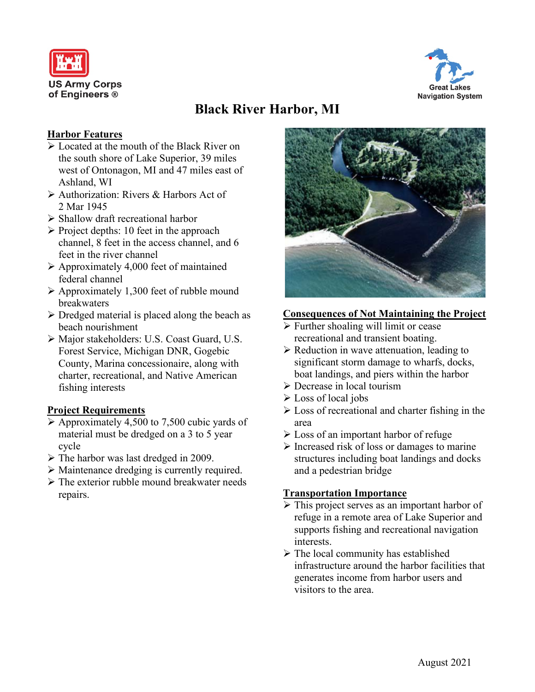



# **Black River Harbor, MI**

#### **Harbor Features**

- $\triangleright$  Located at the mouth of the Black River on the south shore of Lake Superior, 39 miles west of Ontonagon, MI and 47 miles east of Ashland, WI
- Authorization: Rivers & Harbors Act of 2 Mar 1945
- $\triangleright$  Shallow draft recreational harbor
- $\triangleright$  Project depths: 10 feet in the approach channel, 8 feet in the access channel, and 6 feet in the river channel
- $\triangleright$  Approximately 4,000 feet of maintained federal channel
- $\triangleright$  Approximately 1,300 feet of rubble mound breakwaters
- $\triangleright$  Dredged material is placed along the beach as beach nourishment
- Major stakeholders: U.S. Coast Guard, U.S. Forest Service, Michigan DNR, Gogebic County, Marina concessionaire, along with charter, recreational, and Native American fishing interests

### **Project Requirements**

- $\triangleright$  Approximately 4,500 to 7,500 cubic yards of material must be dredged on a 3 to 5 year cycle
- $\triangleright$  The harbor was last dredged in 2009.
- Maintenance dredging is currently required.
- $\triangleright$  The exterior rubble mound breakwater needs repairs.



#### **Consequences of Not Maintaining the Project**

- $\triangleright$  Further shoaling will limit or cease recreational and transient boating.
- $\triangleright$  Reduction in wave attenuation, leading to significant storm damage to wharfs, docks, boat landings, and piers within the harbor
- Decrease in local tourism
- $\triangleright$  Loss of local jobs
- $\triangleright$  Loss of recreational and charter fishing in the area
- **Example 1** Loss of an important harbor of refuge
- $\triangleright$  Increased risk of loss or damages to marine structures including boat landings and docks and a pedestrian bridge

#### **Transportation Importance**

- $\triangleright$  This project serves as an important harbor of refuge in a remote area of Lake Superior and supports fishing and recreational navigation interests.
- $\triangleright$  The local community has established infrastructure around the harbor facilities that generates income from harbor users and visitors to the area.